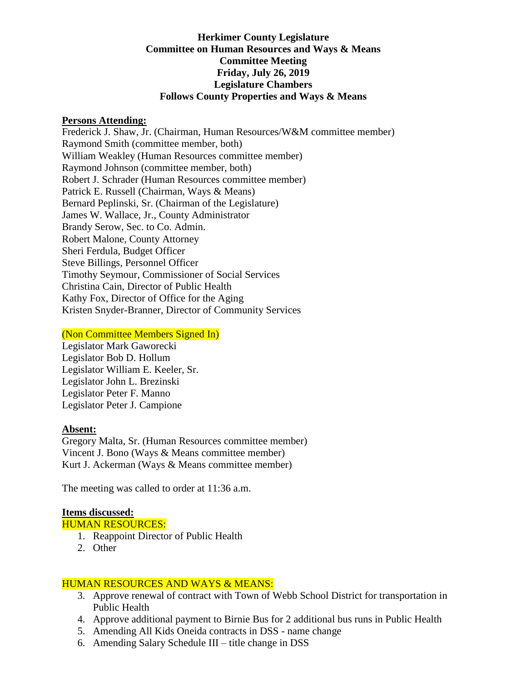## **Herkimer County Legislature Committee on Human Resources and Ways & Means Committee Meeting Friday, July 26, 2019 Legislature Chambers Follows County Properties and Ways & Means**

#### **Persons Attending:**

Frederick J. Shaw, Jr. (Chairman, Human Resources/W&M committee member) Raymond Smith (committee member, both) William Weakley (Human Resources committee member) Raymond Johnson (committee member, both) Robert J. Schrader (Human Resources committee member) Patrick E. Russell (Chairman, Ways & Means) Bernard Peplinski, Sr. (Chairman of the Legislature) James W. Wallace, Jr., County Administrator Brandy Serow, Sec. to Co. Admin. Robert Malone, County Attorney Sheri Ferdula, Budget Officer Steve Billings, Personnel Officer Timothy Seymour, Commissioner of Social Services Christina Cain, Director of Public Health Kathy Fox, Director of Office for the Aging Kristen Snyder-Branner, Director of Community Services

### (Non Committee Members Signed In)

Legislator Mark Gaworecki Legislator Bob D. Hollum Legislator William E. Keeler, Sr. Legislator John L. Brezinski Legislator Peter F. Manno Legislator Peter J. Campione

### **Absent:**

Gregory Malta, Sr. (Human Resources committee member) Vincent J. Bono (Ways & Means committee member) Kurt J. Ackerman (Ways & Means committee member)

The meeting was called to order at 11:36 a.m.

# **Items discussed:**

# HUMAN RESOURCES:

- 1. Reappoint Director of Public Health
- 2. Other

# HUMAN RESOURCES AND WAYS & MEANS:

- 3. Approve renewal of contract with Town of Webb School District for transportation in Public Health
- 4. Approve additional payment to Birnie Bus for 2 additional bus runs in Public Health
- 5. Amending All Kids Oneida contracts in DSS name change
- 6. Amending Salary Schedule III title change in DSS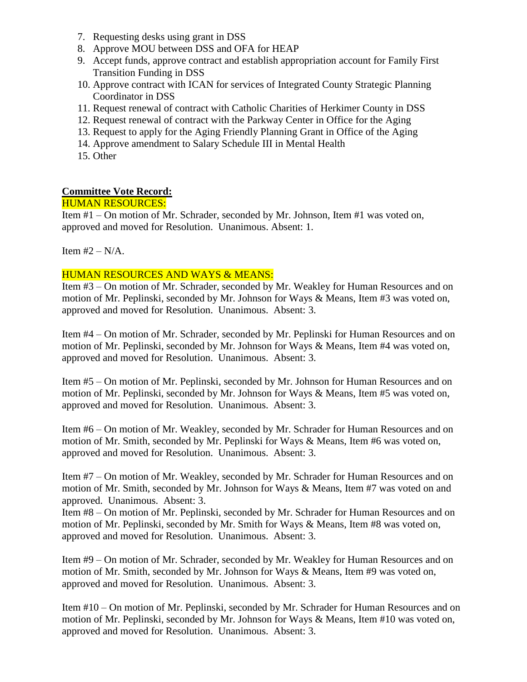- 7. Requesting desks using grant in DSS
- 8. Approve MOU between DSS and OFA for HEAP
- 9. Accept funds, approve contract and establish appropriation account for Family First Transition Funding in DSS
- 10. Approve contract with ICAN for services of Integrated County Strategic Planning Coordinator in DSS
- 11. Request renewal of contract with Catholic Charities of Herkimer County in DSS
- 12. Request renewal of contract with the Parkway Center in Office for the Aging
- 13. Request to apply for the Aging Friendly Planning Grant in Office of the Aging
- 14. Approve amendment to Salary Schedule III in Mental Health
- 15. Other

## **Committee Vote Record:**

### HUMAN RESOURCES:

Item #1 – On motion of Mr. Schrader, seconded by Mr. Johnson, Item #1 was voted on, approved and moved for Resolution. Unanimous. Absent: 1.

Item  $#2 - N/A$ .

## HUMAN RESOURCES AND WAYS & MEANS:

Item #3 – On motion of Mr. Schrader, seconded by Mr. Weakley for Human Resources and on motion of Mr. Peplinski, seconded by Mr. Johnson for Ways & Means, Item #3 was voted on, approved and moved for Resolution. Unanimous. Absent: 3.

Item #4 – On motion of Mr. Schrader, seconded by Mr. Peplinski for Human Resources and on motion of Mr. Peplinski, seconded by Mr. Johnson for Ways & Means, Item #4 was voted on, approved and moved for Resolution. Unanimous. Absent: 3.

Item #5 – On motion of Mr. Peplinski, seconded by Mr. Johnson for Human Resources and on motion of Mr. Peplinski, seconded by Mr. Johnson for Ways & Means, Item #5 was voted on, approved and moved for Resolution. Unanimous. Absent: 3.

Item #6 – On motion of Mr. Weakley, seconded by Mr. Schrader for Human Resources and on motion of Mr. Smith, seconded by Mr. Peplinski for Ways & Means, Item #6 was voted on, approved and moved for Resolution. Unanimous. Absent: 3.

Item #7 – On motion of Mr. Weakley, seconded by Mr. Schrader for Human Resources and on motion of Mr. Smith, seconded by Mr. Johnson for Ways & Means, Item #7 was voted on and approved. Unanimous. Absent: 3.

Item #8 – On motion of Mr. Peplinski, seconded by Mr. Schrader for Human Resources and on motion of Mr. Peplinski, seconded by Mr. Smith for Ways & Means, Item #8 was voted on, approved and moved for Resolution. Unanimous. Absent: 3.

Item #9 – On motion of Mr. Schrader, seconded by Mr. Weakley for Human Resources and on motion of Mr. Smith, seconded by Mr. Johnson for Ways & Means, Item #9 was voted on, approved and moved for Resolution. Unanimous. Absent: 3.

Item #10 – On motion of Mr. Peplinski, seconded by Mr. Schrader for Human Resources and on motion of Mr. Peplinski, seconded by Mr. Johnson for Ways & Means, Item #10 was voted on, approved and moved for Resolution. Unanimous. Absent: 3.